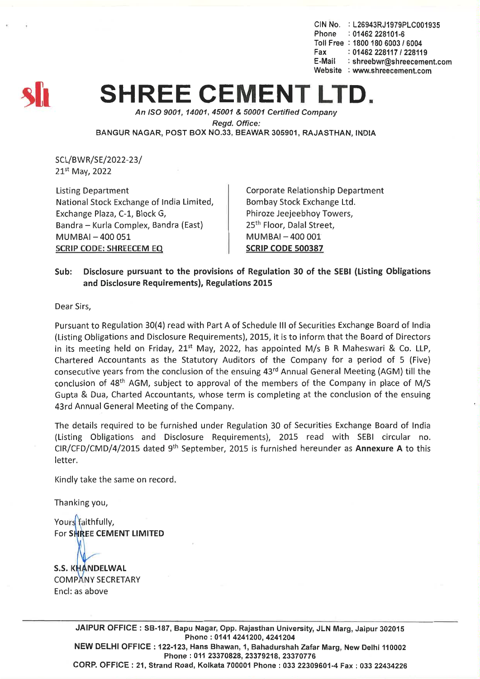CIN No. : L26943RJ1979PLC001935<br>Phone : 01462 228101-6  $\therefore$  01462 228101-6 Toll Free: *18001806003/6004* Fax: *01462228117/228119* E-Mail: shreebwr@shreecement.com Website : www.shreecement.com



## **SHREE CEMENT LTD.**

*An ISO 9001, 14001,45001* & *50001 Certified Company Regd. Office:* BANGUR NAGAR, POST BOX NO.33, BEAWAR 305901, RAJASTHAN, INDIA

SCL/BWR/SE/2022-23/ 21st May, 2022

Listing Department National Stock Exchange of India Limited, Exchange Plaza, C-1, Block G, Bandra - Kurla Complex, Bandra (East)  $MUMBAI - 400051$ SCRIP CODE: SHREECEM EQ

Corporate Relationship Department Bombay Stock Exchange Ltd. Phiroze Jeejeebhoy Towers, 25th Floor, Dalal Street,  $MUMBAI - 400001$ SCRIP CODE 500387

## Sub: Disclosure pursuant to the provisions of Regulation 30 of the SEBI (Listing Obligations and Disclosure Requirements), Regulations 2015

Dear Sirs,

Pursuant to Regulation 30(4) read with Part A of Schedule III of Securities Exchange Board of India (Listing Obligations and Disclosure Requirements), 2015, it is to inform that the Board of Directors in its meeting held on Friday,  $21^{st}$  May, 2022, has appointed M/s B R Maheswari & Co. LLP. Chartered Accountants as the Statutory Auditors of the Company for a period of 5 (Five) consecutive years from the conclusion of the ensuing 43rd Annual General Meeting (AGM) till the conclusion of 48th AGM, subject to approval of the members of the Company in place of M/S Gupta & Dua, Charted Accountants, whose term is completing at the conclusion of the ensuing 43rd Annual General Meeting of the Company.

The details required to be furnished under Regulation 30 of Securities Exchange Board of India (Listing Obligations and Disclosure Requirements), 2015 read with SEBI circular no. CIR/CFD/CMD/4/2015 dated 9th September, 2015 is furnished hereunder as Annexure A to this letter.

Kindly take the same on record.

Thanking you,

Yours faithfully, For SHREE CEMENT LIMITED

**S.S. KHANDELWAL COMPANY SECRETARY** End: as above

> JAIPUR OFFICE: SB-187, Bapu Nagar, Opp. Rajasthan University, JLN Marg, Jaipur 302015 Phone: 0141 4241200, 4241204 NEW DELHI OFFICE: 122-123, Hans Bhawan, 1, Bahadurshah Zafar Marg, New Delhi 110002 Phone: 011 23370828, 23379218, 23370776 CORP. OFFICE: 21, Strand Road, Kolkata 700001 Phone: 033 22309601-4 Fax: 033 22434226